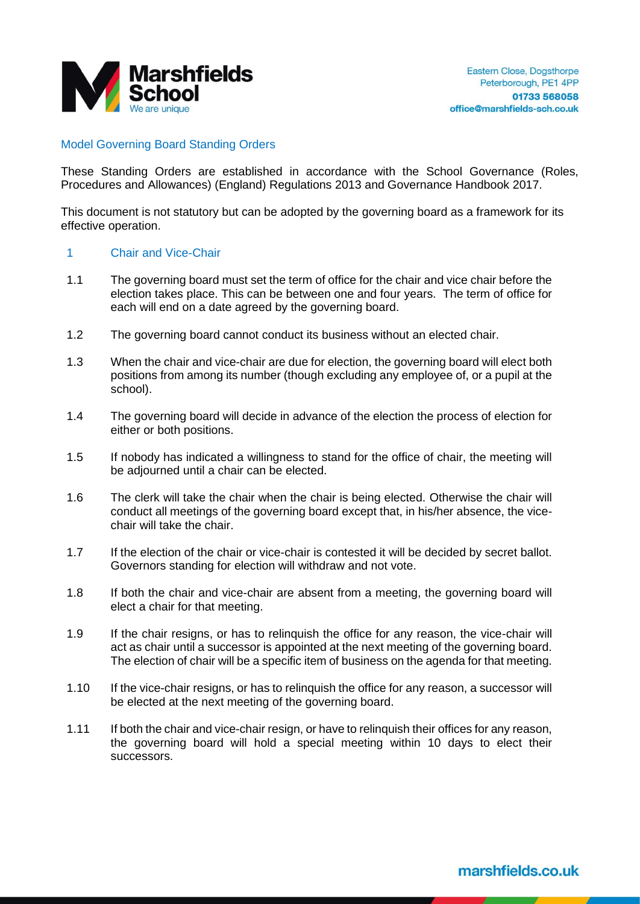

# Model Governing Board Standing Orders

These Standing Orders are established in accordance with the School Governance (Roles, Procedures and Allowances) (England) Regulations 2013 and Governance Handbook 2017.

This document is not statutory but can be adopted by the governing board as a framework for its effective operation.

#### 1 Chair and Vice-Chair

- 1.1 The governing board must set the term of office for the chair and vice chair before the election takes place. This can be between one and four years. The term of office for each will end on a date agreed by the governing board.
- 1.2 The governing board cannot conduct its business without an elected chair.
- 1.3 When the chair and vice-chair are due for election, the governing board will elect both positions from among its number (though excluding any employee of, or a pupil at the school).
- 1.4 The governing board will decide in advance of the election the process of election for either or both positions.
- 1.5 If nobody has indicated a willingness to stand for the office of chair, the meeting will be adjourned until a chair can be elected.
- 1.6 The clerk will take the chair when the chair is being elected. Otherwise the chair will conduct all meetings of the governing board except that, in his/her absence, the vicechair will take the chair.
- 1.7 If the election of the chair or vice-chair is contested it will be decided by secret ballot. Governors standing for election will withdraw and not vote.
- 1.8 If both the chair and vice-chair are absent from a meeting, the governing board will elect a chair for that meeting.
- 1.9 If the chair resigns, or has to relinquish the office for any reason, the vice-chair will act as chair until a successor is appointed at the next meeting of the governing board. The election of chair will be a specific item of business on the agenda for that meeting.
- 1.10 If the vice-chair resigns, or has to relinquish the office for any reason, a successor will be elected at the next meeting of the governing board.
- 1.11 If both the chair and vice-chair resign, or have to relinquish their offices for any reason, the governing board will hold a special meeting within 10 days to elect their successors.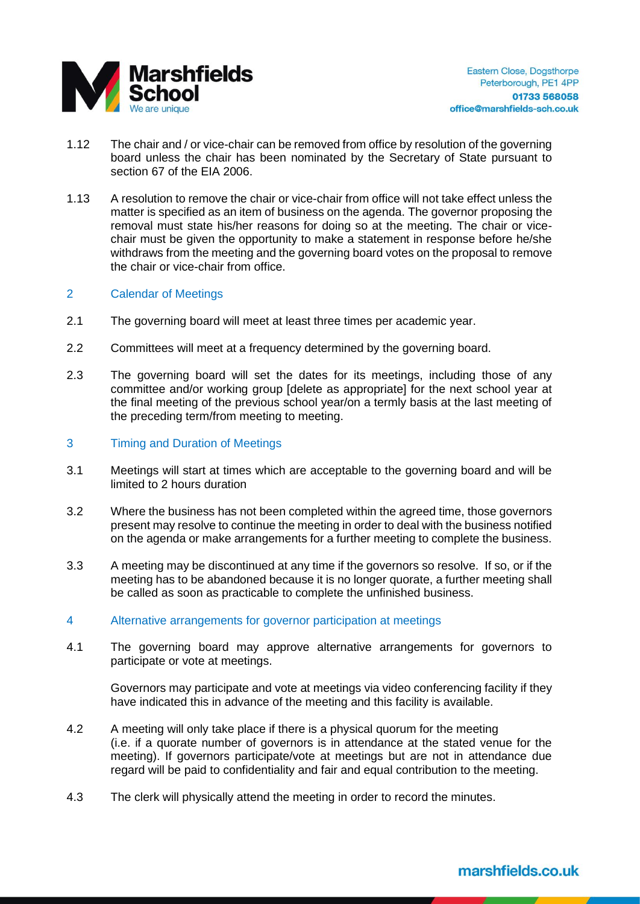

- 1.12 The chair and / or vice-chair can be removed from office by resolution of the governing board unless the chair has been nominated by the Secretary of State pursuant to section 67 of the EIA 2006.
- 1.13 A resolution to remove the chair or vice-chair from office will not take effect unless the matter is specified as an item of business on the agenda. The governor proposing the removal must state his/her reasons for doing so at the meeting. The chair or vicechair must be given the opportunity to make a statement in response before he/she withdraws from the meeting and the governing board votes on the proposal to remove the chair or vice-chair from office.

# 2 Calendar of Meetings

- 2.1 The governing board will meet at least three times per academic year.
- 2.2 Committees will meet at a frequency determined by the governing board.
- 2.3 The governing board will set the dates for its meetings, including those of any committee and/or working group [delete as appropriate] for the next school year at the final meeting of the previous school year/on a termly basis at the last meeting of the preceding term/from meeting to meeting.
- 3 Timing and Duration of Meetings
- 3.1 Meetings will start at times which are acceptable to the governing board and will be limited to 2 hours duration
- 3.2 Where the business has not been completed within the agreed time, those governors present may resolve to continue the meeting in order to deal with the business notified on the agenda or make arrangements for a further meeting to complete the business.
- 3.3 A meeting may be discontinued at any time if the governors so resolve. If so, or if the meeting has to be abandoned because it is no longer quorate, a further meeting shall be called as soon as practicable to complete the unfinished business.
- 4 Alternative arrangements for governor participation at meetings
- 4.1 The governing board may approve alternative arrangements for governors to participate or vote at meetings.

Governors may participate and vote at meetings via video conferencing facility if they have indicated this in advance of the meeting and this facility is available.

- 4.2 A meeting will only take place if there is a physical quorum for the meeting (i.e. if a quorate number of governors is in attendance at the stated venue for the meeting). If governors participate/vote at meetings but are not in attendance due regard will be paid to confidentiality and fair and equal contribution to the meeting.
- 4.3 The clerk will physically attend the meeting in order to record the minutes.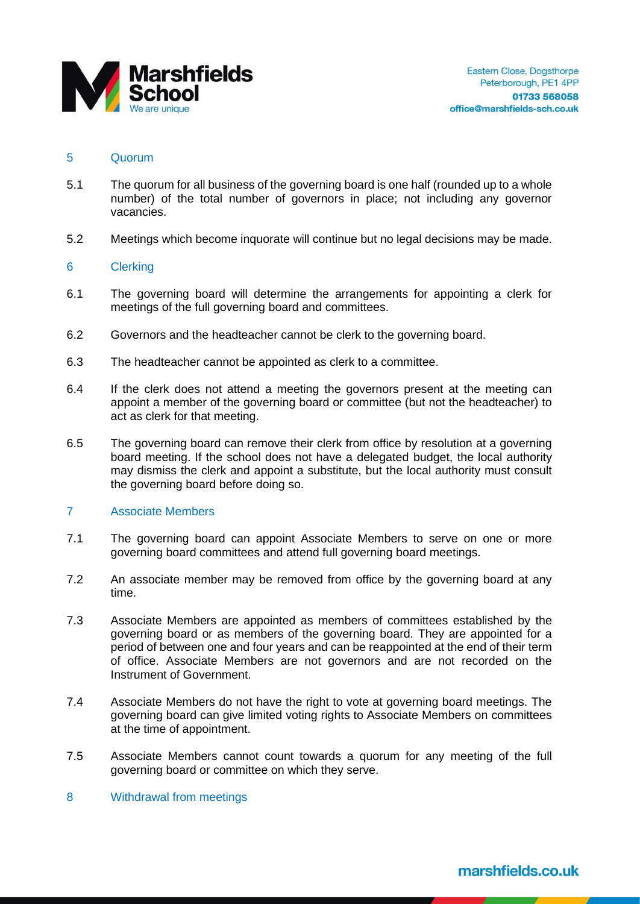

### 5 Quorum

- 5.1 The quorum for all business of the governing board is one half (rounded up to a whole number) of the total number of governors in place; not including any governor vacancies.
- 5.2 Meetings which become inquorate will continue but no legal decisions may be made.

# 6 Clerking

- 6.1 The governing board will determine the arrangements for appointing a clerk for meetings of the full governing board and committees.
- 6.2 Governors and the headteacher cannot be clerk to the governing board.
- 6.3 The headteacher cannot be appointed as clerk to a committee.
- 6.4 If the clerk does not attend a meeting the governors present at the meeting can appoint a member of the governing board or committee (but not the headteacher) to act as clerk for that meeting.
- 6.5 The governing board can remove their clerk from office by resolution at a governing board meeting. If the school does not have a delegated budget, the local authority may dismiss the clerk and appoint a substitute, but the local authority must consult the governing board before doing so.

### 7 Associate Members

- 7.1 The governing board can appoint Associate Members to serve on one or more governing board committees and attend full governing board meetings.
- 7.2 An associate member may be removed from office by the governing board at any time.
- 7.3 Associate Members are appointed as members of committees established by the governing board or as members of the governing board. They are appointed for a period of between one and four years and can be reappointed at the end of their term of office. Associate Members are not governors and are not recorded on the Instrument of Government.
- 7.4 Associate Members do not have the right to vote at governing board meetings. The governing board can give limited voting rights to Associate Members on committees at the time of appointment.
- 7.5 Associate Members cannot count towards a quorum for any meeting of the full governing board or committee on which they serve.
- 8 Withdrawal from meetings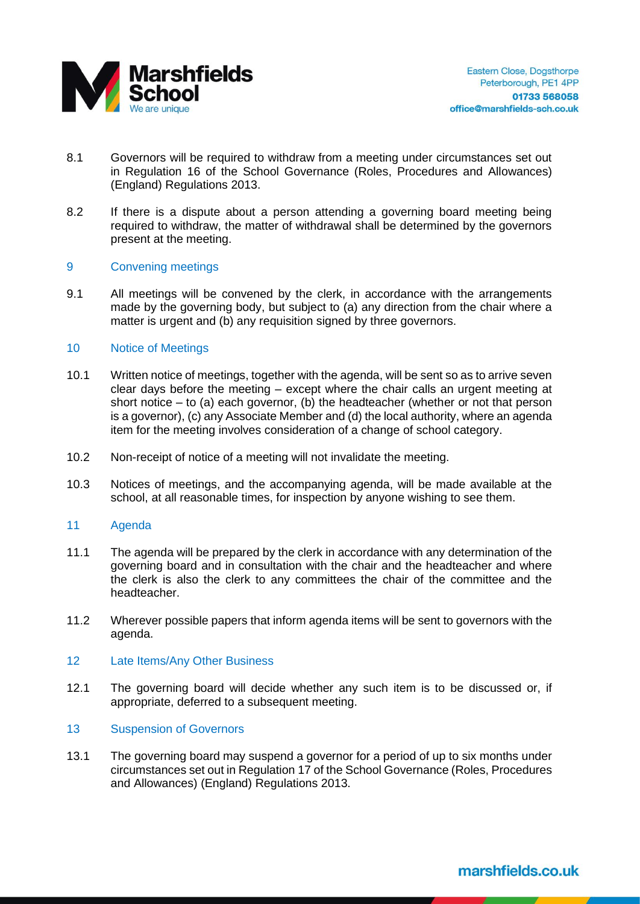

- 8.1 Governors will be required to withdraw from a meeting under circumstances set out in Regulation 16 of the School Governance (Roles, Procedures and Allowances) (England) Regulations 2013.
- 8.2 If there is a dispute about a person attending a governing board meeting being required to withdraw, the matter of withdrawal shall be determined by the governors present at the meeting.

# 9 Convening meetings

9.1 All meetings will be convened by the clerk, in accordance with the arrangements made by the governing body, but subject to (a) any direction from the chair where a matter is urgent and (b) any requisition signed by three governors.

#### 10 Notice of Meetings

- 10.1 Written notice of meetings, together with the agenda, will be sent so as to arrive seven clear days before the meeting – except where the chair calls an urgent meeting at short notice  $-$  to (a) each governor, (b) the headteacher (whether or not that person is a governor), (c) any Associate Member and (d) the local authority, where an agenda item for the meeting involves consideration of a change of school category.
- 10.2 Non-receipt of notice of a meeting will not invalidate the meeting.
- 10.3 Notices of meetings, and the accompanying agenda, will be made available at the school, at all reasonable times, for inspection by anyone wishing to see them.

#### 11 Agenda

- 11.1 The agenda will be prepared by the clerk in accordance with any determination of the governing board and in consultation with the chair and the headteacher and where the clerk is also the clerk to any committees the chair of the committee and the headteacher.
- 11.2 Wherever possible papers that inform agenda items will be sent to governors with the agenda.
- 12 Late Items/Any Other Business
- 12.1 The governing board will decide whether any such item is to be discussed or, if appropriate, deferred to a subsequent meeting.

#### 13 Suspension of Governors

13.1 The governing board may suspend a governor for a period of up to six months under circumstances set out in Regulation 17 of the School Governance (Roles, Procedures and Allowances) (England) Regulations 2013.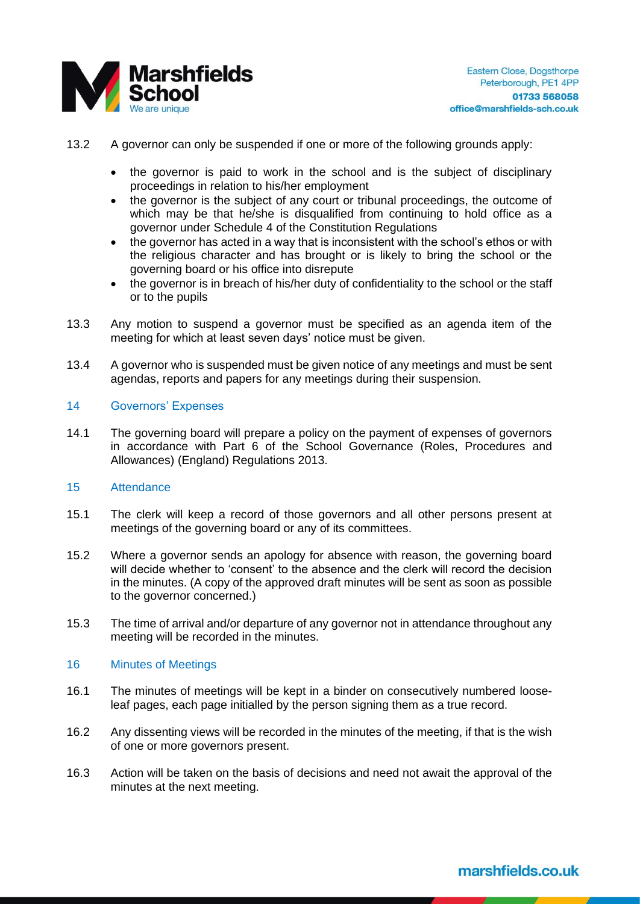

- 13.2 A governor can only be suspended if one or more of the following grounds apply:
	- the governor is paid to work in the school and is the subject of disciplinary proceedings in relation to his/her employment
	- the governor is the subject of any court or tribunal proceedings, the outcome of which may be that he/she is disqualified from continuing to hold office as a governor under Schedule 4 of the Constitution Regulations
	- the governor has acted in a way that is inconsistent with the school's ethos or with the religious character and has brought or is likely to bring the school or the governing board or his office into disrepute
	- the governor is in breach of his/her duty of confidentiality to the school or the staff or to the pupils
- 13.3 Any motion to suspend a governor must be specified as an agenda item of the meeting for which at least seven days' notice must be given.
- 13.4 A governor who is suspended must be given notice of any meetings and must be sent agendas, reports and papers for any meetings during their suspension.

# 14 Governors' Expenses

14.1 The governing board will prepare a policy on the payment of expenses of governors in accordance with Part 6 of the School Governance (Roles, Procedures and Allowances) (England) Regulations 2013.

# 15 Attendance

- 15.1 The clerk will keep a record of those governors and all other persons present at meetings of the governing board or any of its committees.
- 15.2 Where a governor sends an apology for absence with reason, the governing board will decide whether to 'consent' to the absence and the clerk will record the decision in the minutes. (A copy of the approved draft minutes will be sent as soon as possible to the governor concerned.)
- 15.3 The time of arrival and/or departure of any governor not in attendance throughout any meeting will be recorded in the minutes.

#### 16 Minutes of Meetings

- 16.1 The minutes of meetings will be kept in a binder on consecutively numbered looseleaf pages, each page initialled by the person signing them as a true record.
- 16.2 Any dissenting views will be recorded in the minutes of the meeting, if that is the wish of one or more governors present.
- 16.3 Action will be taken on the basis of decisions and need not await the approval of the minutes at the next meeting.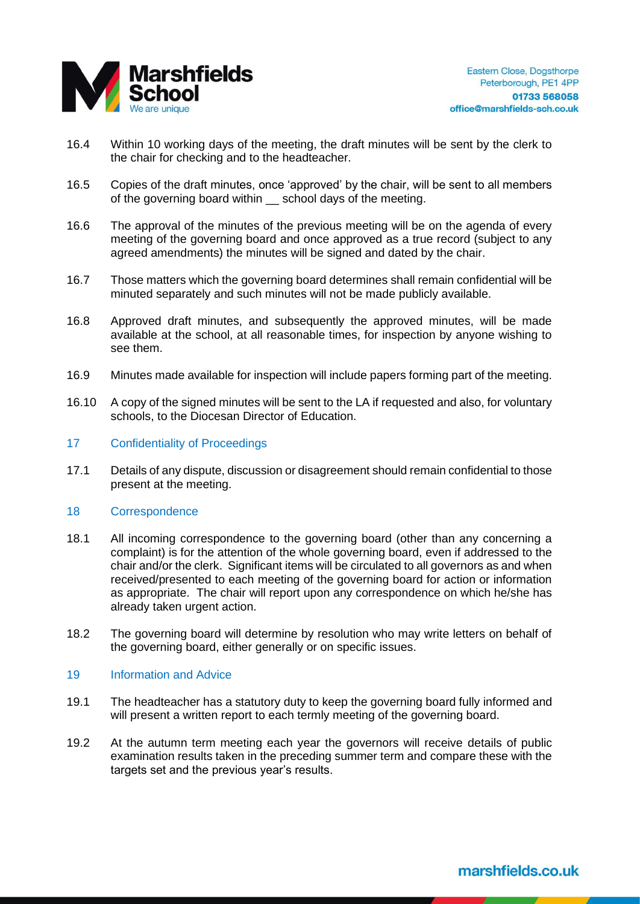

- 16.4 Within 10 working days of the meeting, the draft minutes will be sent by the clerk to the chair for checking and to the headteacher.
- 16.5 Copies of the draft minutes, once 'approved' by the chair, will be sent to all members of the governing board within school days of the meeting.
- 16.6 The approval of the minutes of the previous meeting will be on the agenda of every meeting of the governing board and once approved as a true record (subject to any agreed amendments) the minutes will be signed and dated by the chair.
- 16.7 Those matters which the governing board determines shall remain confidential will be minuted separately and such minutes will not be made publicly available.
- 16.8 Approved draft minutes, and subsequently the approved minutes, will be made available at the school, at all reasonable times, for inspection by anyone wishing to see them.
- 16.9 Minutes made available for inspection will include papers forming part of the meeting.
- 16.10 A copy of the signed minutes will be sent to the LA if requested and also, for voluntary schools, to the Diocesan Director of Education.
- 17 Confidentiality of Proceedings
- 17.1 Details of any dispute, discussion or disagreement should remain confidential to those present at the meeting.
- 18 Correspondence
- 18.1 All incoming correspondence to the governing board (other than any concerning a complaint) is for the attention of the whole governing board, even if addressed to the chair and/or the clerk. Significant items will be circulated to all governors as and when received/presented to each meeting of the governing board for action or information as appropriate. The chair will report upon any correspondence on which he/she has already taken urgent action.
- 18.2 The governing board will determine by resolution who may write letters on behalf of the governing board, either generally or on specific issues.

# 19 **Information and Advice**

- 19.1 The headteacher has a statutory duty to keep the governing board fully informed and will present a written report to each termly meeting of the governing board.
- 19.2 At the autumn term meeting each year the governors will receive details of public examination results taken in the preceding summer term and compare these with the targets set and the previous year's results.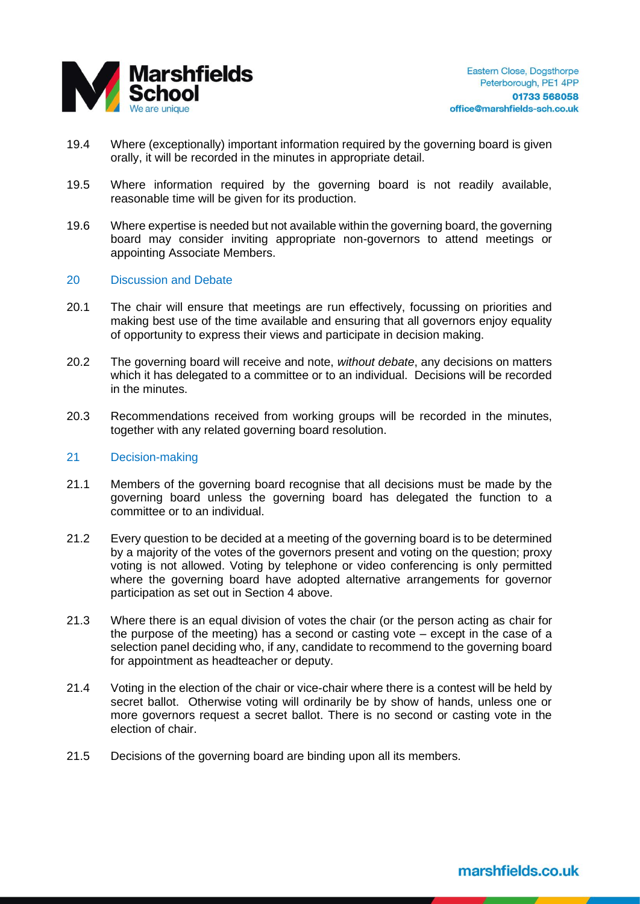

- 19.4 Where (exceptionally) important information required by the governing board is given orally, it will be recorded in the minutes in appropriate detail.
- 19.5 Where information required by the governing board is not readily available, reasonable time will be given for its production.
- 19.6 Where expertise is needed but not available within the governing board, the governing board may consider inviting appropriate non-governors to attend meetings or appointing Associate Members.

#### 20 Discussion and Debate

- 20.1 The chair will ensure that meetings are run effectively, focussing on priorities and making best use of the time available and ensuring that all governors enjoy equality of opportunity to express their views and participate in decision making.
- 20.2 The governing board will receive and note, *without debate*, any decisions on matters which it has delegated to a committee or to an individual. Decisions will be recorded in the minutes.
- 20.3 Recommendations received from working groups will be recorded in the minutes, together with any related governing board resolution.

#### 21 Decision-making

- 21.1 Members of the governing board recognise that all decisions must be made by the governing board unless the governing board has delegated the function to a committee or to an individual.
- 21.2 Every question to be decided at a meeting of the governing board is to be determined by a majority of the votes of the governors present and voting on the question; proxy voting is not allowed. Voting by telephone or video conferencing is only permitted where the governing board have adopted alternative arrangements for governor participation as set out in Section 4 above.
- 21.3 Where there is an equal division of votes the chair (or the person acting as chair for the purpose of the meeting) has a second or casting vote – except in the case of a selection panel deciding who, if any, candidate to recommend to the governing board for appointment as headteacher or deputy.
- 21.4 Voting in the election of the chair or vice-chair where there is a contest will be held by secret ballot. Otherwise voting will ordinarily be by show of hands, unless one or more governors request a secret ballot. There is no second or casting vote in the election of chair.
- 21.5 Decisions of the governing board are binding upon all its members.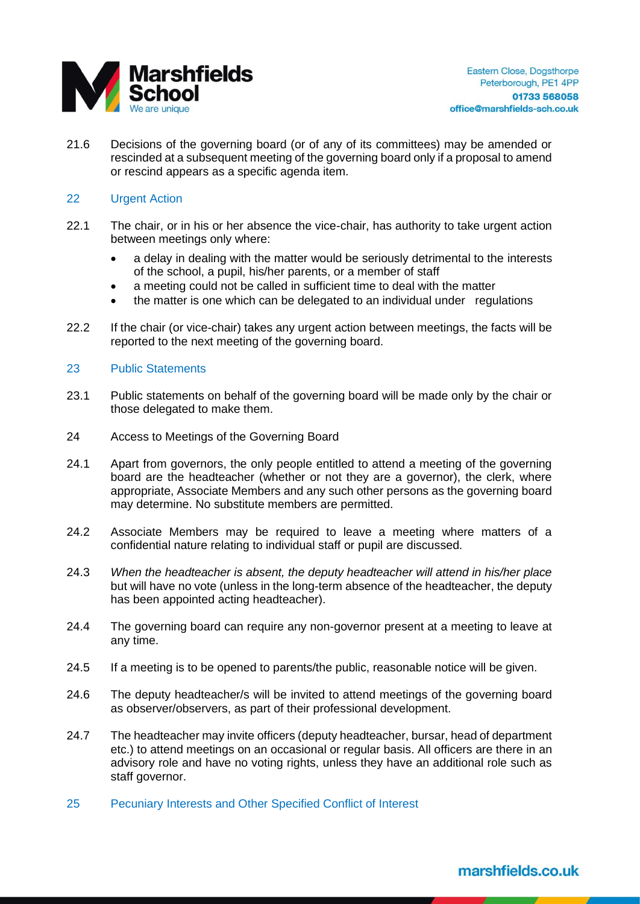

21.6 Decisions of the governing board (or of any of its committees) may be amended or rescinded at a subsequent meeting of the governing board only if a proposal to amend or rescind appears as a specific agenda item.

# 22 Urgent Action

- 22.1 The chair, or in his or her absence the vice-chair, has authority to take urgent action between meetings only where:
	- a delay in dealing with the matter would be seriously detrimental to the interests of the school, a pupil, his/her parents, or a member of staff
	- a meeting could not be called in sufficient time to deal with the matter
	- the matter is one which can be delegated to an individual under regulations
- 22.2 If the chair (or vice-chair) takes any urgent action between meetings, the facts will be reported to the next meeting of the governing board.

# 23 Public Statements

- 23.1 Public statements on behalf of the governing board will be made only by the chair or those delegated to make them.
- 24 Access to Meetings of the Governing Board
- 24.1 Apart from governors, the only people entitled to attend a meeting of the governing board are the headteacher (whether or not they are a governor), the clerk, where appropriate, Associate Members and any such other persons as the governing board may determine. No substitute members are permitted.
- 24.2 Associate Members may be required to leave a meeting where matters of a confidential nature relating to individual staff or pupil are discussed.
- 24.3 *When the headteacher is absent, the deputy headteacher will attend in his/her place* but will have no vote (unless in the long-term absence of the headteacher, the deputy has been appointed acting headteacher).
- 24.4 The governing board can require any non-governor present at a meeting to leave at any time.
- 24.5 If a meeting is to be opened to parents/the public, reasonable notice will be given.
- 24.6 The deputy headteacher/s will be invited to attend meetings of the governing board as observer/observers, as part of their professional development.
- 24.7 The headteacher may invite officers (deputy headteacher, bursar, head of department etc.) to attend meetings on an occasional or regular basis. All officers are there in an advisory role and have no voting rights, unless they have an additional role such as staff governor.
- 25 Pecuniary Interests and Other Specified Conflict of Interest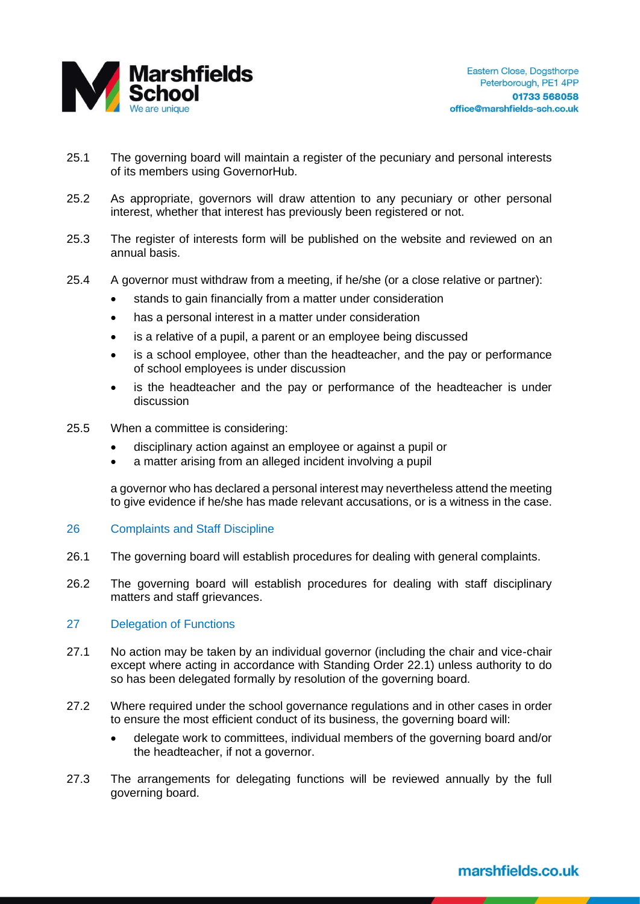

- 25.1 The governing board will maintain a register of the pecuniary and personal interests of its members using GovernorHub.
- 25.2 As appropriate, governors will draw attention to any pecuniary or other personal interest, whether that interest has previously been registered or not.
- 25.3 The register of interests form will be published on the website and reviewed on an annual basis.
- 25.4 A governor must withdraw from a meeting, if he/she (or a close relative or partner):
	- stands to gain financially from a matter under consideration
	- has a personal interest in a matter under consideration
	- is a relative of a pupil, a parent or an employee being discussed
	- is a school employee, other than the headteacher, and the pay or performance of school employees is under discussion
	- is the headteacher and the pay or performance of the headteacher is under discussion
- 25.5 When a committee is considering:
	- disciplinary action against an employee or against a pupil or
	- a matter arising from an alleged incident involving a pupil

a governor who has declared a personal interest may nevertheless attend the meeting to give evidence if he/she has made relevant accusations, or is a witness in the case.

### 26 Complaints and Staff Discipline

- 26.1 The governing board will establish procedures for dealing with general complaints.
- 26.2 The governing board will establish procedures for dealing with staff disciplinary matters and staff grievances.

# 27 Delegation of Functions

- 27.1 No action may be taken by an individual governor (including the chair and vice-chair except where acting in accordance with Standing Order 22.1) unless authority to do so has been delegated formally by resolution of the governing board.
- 27.2 Where required under the school governance regulations and in other cases in order to ensure the most efficient conduct of its business, the governing board will:
	- delegate work to committees, individual members of the governing board and/or the headteacher, if not a governor.
- 27.3 The arrangements for delegating functions will be reviewed annually by the full governing board.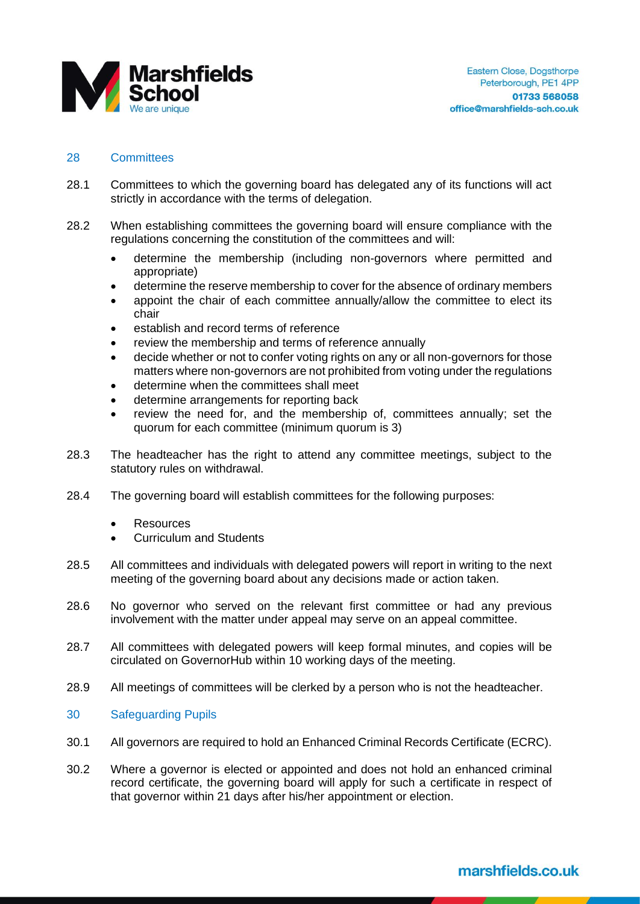

# 28 Committees

- 28.1 Committees to which the governing board has delegated any of its functions will act strictly in accordance with the terms of delegation.
- 28.2 When establishing committees the governing board will ensure compliance with the regulations concerning the constitution of the committees and will:
	- determine the membership (including non-governors where permitted and appropriate)
	- determine the reserve membership to cover for the absence of ordinary members
	- appoint the chair of each committee annually/allow the committee to elect its chair
	- establish and record terms of reference
	- review the membership and terms of reference annually
	- decide whether or not to confer voting rights on any or all non-governors for those matters where non-governors are not prohibited from voting under the regulations
	- determine when the committees shall meet
	- determine arrangements for reporting back
	- review the need for, and the membership of, committees annually; set the quorum for each committee (minimum quorum is 3)
- 28.3 The headteacher has the right to attend any committee meetings, subject to the statutory rules on withdrawal.
- 28.4 The governing board will establish committees for the following purposes:
	- **Resources**
	- Curriculum and Students
- 28.5 All committees and individuals with delegated powers will report in writing to the next meeting of the governing board about any decisions made or action taken.
- 28.6 No governor who served on the relevant first committee or had any previous involvement with the matter under appeal may serve on an appeal committee.
- 28.7 All committees with delegated powers will keep formal minutes, and copies will be circulated on GovernorHub within 10 working days of the meeting.
- 28.9 All meetings of committees will be clerked by a person who is not the headteacher.

# 30 Safeguarding Pupils

- 30.1 All governors are required to hold an Enhanced Criminal Records Certificate (ECRC).
- 30.2 Where a governor is elected or appointed and does not hold an enhanced criminal record certificate, the governing board will apply for such a certificate in respect of that governor within 21 days after his/her appointment or election.